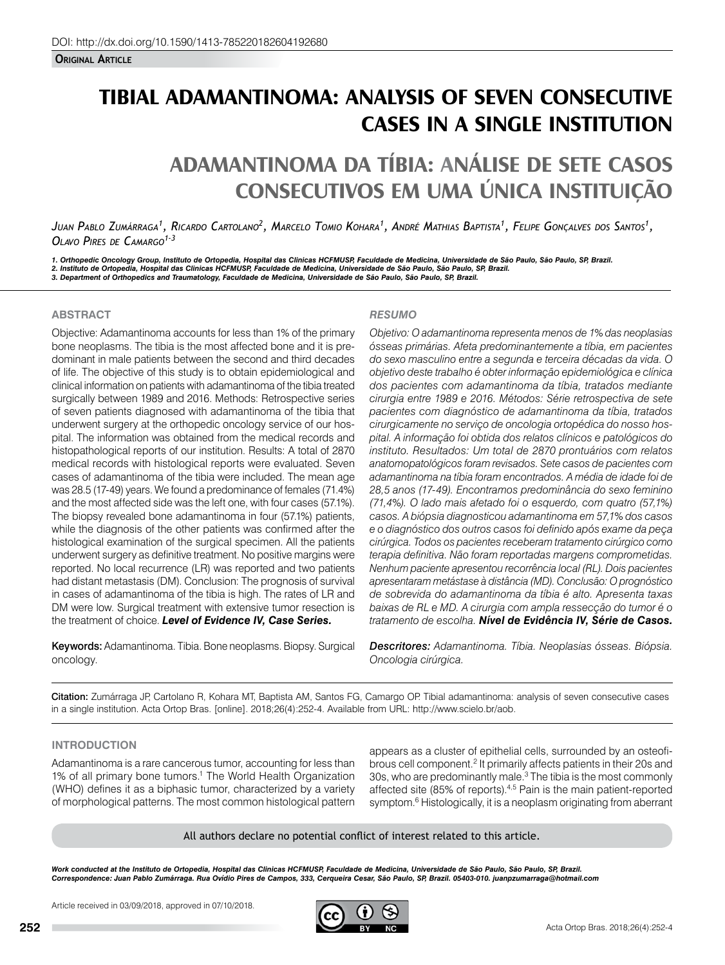# **TIBIAL ADAMANTINOMA: ANALYSIS OF SEVEN CONSECUTIVE CASES IN A SINGLE INSTITUTION**

# **ADAMANTINOMA DA TÍBIA: ANÁLISE DE SETE CASOS CONSECUTIVOS EM UMA ÚNICA INSTITUIÇÃO**

*Juan Pablo Zumárraga1 , Ricardo Cartolano2 , Marcelo Tomio Kohara1 , André Mathias Baptista1 , Felipe Gonçalves dos Santos1 , Olavo Pires de Camargo1-3*

*1. Orthopedic Oncology Group, Instituto de Ortopedia, Hospital das Clinicas HCFMUSP, Faculdade de Medicina, Universidade de São Paulo, São Paulo, SP, Brazil.*

2. Instituto de Ortopedia, Hospital das Clinicas HCFMUSP, Faculdade de Medicina, Universidade de São Paulo, São Paulo, SP, Brazil.<br>3. Department of Orthopedics and Traumatology, Faculdade de Medicina, Universidade de São P

### **ABSTRACT**

Objective: Adamantinoma accounts for less than 1% of the primary bone neoplasms. The tibia is the most affected bone and it is predominant in male patients between the second and third decades of life. The objective of this study is to obtain epidemiological and clinical information on patients with adamantinoma of the tibia treated surgically between 1989 and 2016. Methods: Retrospective series of seven patients diagnosed with adamantinoma of the tibia that underwent surgery at the orthopedic oncology service of our hospital. The information was obtained from the medical records and histopathological reports of our institution. Results: A total of 2870 medical records with histological reports were evaluated. Seven cases of adamantinoma of the tibia were included. The mean age was 28.5 (17-49) years. We found a predominance of females (71.4%) and the most affected side was the left one, with four cases (57.1%). The biopsy revealed bone adamantinoma in four (57.1%) patients, while the diagnosis of the other patients was confirmed after the histological examination of the surgical specimen. All the patients underwent surgery as definitive treatment. No positive margins were reported. No local recurrence (LR) was reported and two patients had distant metastasis (DM). Conclusion: The prognosis of survival in cases of adamantinoma of the tibia is high. The rates of LR and DM were low. Surgical treatment with extensive tumor resection is the treatment of choice. *Level of Evidence IV, Case Series.* 

Keywords: Adamantinoma. Tibia. Bone neoplasms. Biopsy. Surgical oncology.

## *RESUMO*

*Objetivo: O adamantinoma representa menos de 1% das neoplasias ósseas primárias. Afeta predominantemente a tíbia, em pacientes do sexo masculino entre a segunda e terceira décadas da vida. O objetivo deste trabalho é obter informação epidemiológica e clínica dos pacientes com adamantinoma da tíbia, tratados mediante cirurgia entre 1989 e 2016. Métodos: Série retrospectiva de sete pacientes com diagnóstico de adamantinoma da tíbia, tratados cirurgicamente no serviço de oncologia ortopédica do nosso hospital. A informação foi obtida dos relatos clínicos e patológicos do instituto. Resultados: Um total de 2870 prontuários com relatos anatomopatológicos foram revisados. Sete casos de pacientes com adamantinoma na tíbia foram encontrados. A média de idade foi de 28,5 anos (17-49). Encontramos predominância do sexo feminino (71,4%). O lado mais afetado foi o esquerdo, com quatro (57,1%) casos. A biópsia diagnosticou adamantinoma em 57,1% dos casos e o diagnóstico dos outros casos foi definido após exame da peça cirúrgica. Todos os pacientes receberam tratamento cirúrgico como terapia definitiva. Não foram reportadas margens comprometidas. Nenhum paciente apresentou recorrência local (RL). Dois pacientes apresentaram metástase à distância (MD). Conclusão: O prognóstico de sobrevida do adamantinoma da tíbia é alto. Apresenta taxas baixas de RL e MD. A cirurgia com ampla ressecção do tumor é o tratamento de escolha. Nível de Evidência IV, Série de Casos.*

*Descritores: Adamantinoma. Tíbia. Neoplasias ósseas. Biópsia. Oncologia cirúrgica.*

Citation: Zumárraga JP, Cartolano R, Kohara MT, Baptista AM, Santos FG, Camargo OP. Tibial adamantinoma: analysis of seven consecutive cases in a single institution. Acta Ortop Bras. [online]. 2018;26(4):252-4. Available from URL: http://www.scielo.br/aob.

#### **INTRODUCTION**

Adamantinoma is a rare cancerous tumor, accounting for less than 1% of all primary bone tumors.<sup>1</sup> The World Health Organization (WHO) defines it as a biphasic tumor, characterized by a variety of morphological patterns. The most common histological pattern

appears as a cluster of epithelial cells, surrounded by an osteofibrous cell component.<sup>2</sup> It primarily affects patients in their 20s and 30s, who are predominantly male.<sup>3</sup> The tibia is the most commonly affected site (85% of reports).<sup>4,5</sup> Pain is the main patient-reported symptom.<sup>6</sup> Histologically, it is a neoplasm originating from aberrant

All authors declare no potential conflict of interest related to this article.

*Work conducted at the Instituto de Ortopedia, Hospital das Clinicas HCFMUSP, Faculdade de Medicina, Universidade de São Paulo, São Paulo, SP, Brazil. Correspondence: Juan Pablo Zumárraga. Rua Ovídio Pires de Campos, 333, Cerqueira Cesar, São Paulo, SP, Brazil. 05403-010. juanpzumarraga@hotmail.com*

Article received in 03/09/2018, approved in 07/10/2018.

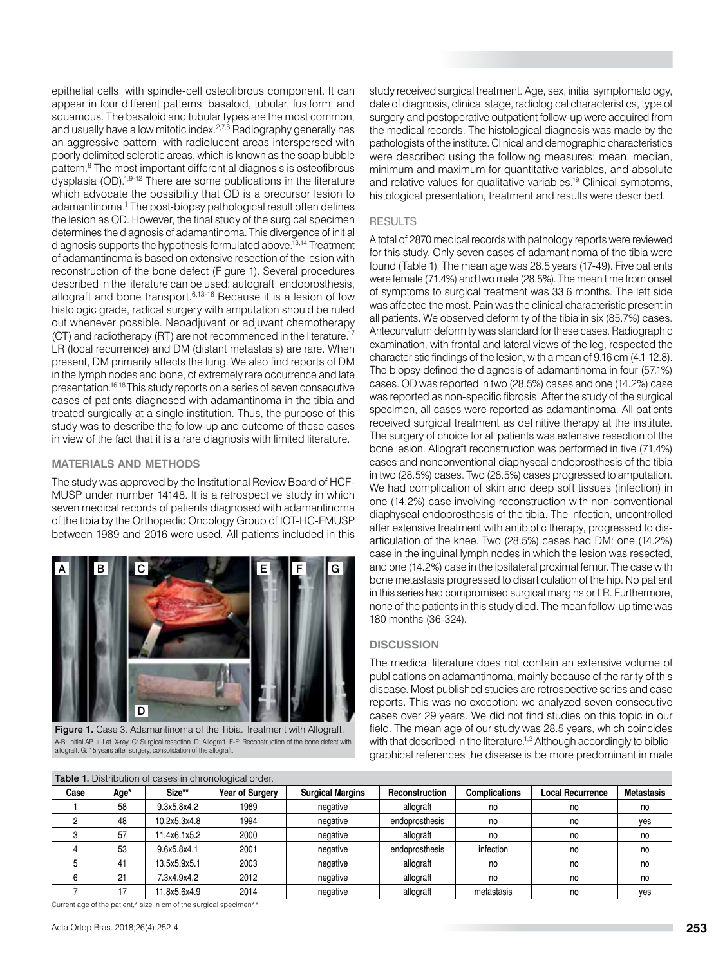epithelial cells, with spindle-cell osteofibrous component. It can appear in four different patterns: basaloid, tubular, fusiform, and squamous. The basaloid and tubular types are the most common, and usually have a low mitotic index.<sup>2,7,8</sup> Radiography generally has an aggressive pattern, with radiolucent areas interspersed with poorly delimited sclerotic areas, which is known as the soap bubble pattern.<sup>8</sup> The most important differential diagnosis is osteofibrous dysplasia  $(OD)$ .<sup>1,9-12</sup> There are some publications in the literature which advocate the possibility that OD is a precursor lesion to adamantinoma.<sup>1</sup> The post-biopsy pathological result often defines the lesion as OD. However, the final study of the surgical specimen determines the diagnosis of adamantinoma. This divergence of initial diagnosis supports the hypothesis formulated above.<sup>13,14</sup> Treatment of adamantinoma is based on extensive resection of the lesion with reconstruction of the bone defect (Figure 1). Several procedures described in the literature can be used: autograft, endoprosthesis, allograft and bone transport.6,13-16 Because it is a lesion of low histologic grade, radical surgery with amputation should be ruled out whenever possible. Neoadjuvant or adjuvant chemotherapy (CT) and radiotherapy (RT) are not recommended in the literature.<sup>1</sup> LR (local recurrence) and DM (distant metastasis) are rare. When present, DM primarily affects the lung. We also find reports of DM in the lymph nodes and bone, of extremely rare occurrence and late presentation.16,18 This study reports on a series of seven consecutive cases of patients diagnosed with adamantinoma in the tibia and treated surgically at a single institution. Thus, the purpose of this study was to describe the follow-up and outcome of these cases in view of the fact that it is a rare diagnosis with limited literature.

### **MATERIALS AND METHODS**

The study was approved by the Institutional Review Board of HCF-MUSP under number 14148. It is a retrospective study in which seven medical records of patients diagnosed with adamantinoma of the tibia by the Orthopedic Oncology Group of IOT-HC-FMUSP between 1989 and 2016 were used. All patients included in this



Figure 1. Case 3. Adamantinoma of the Tibia. Treatment with Allograft. A-B: Initial AP + Lat. X-ray. C: Surgical resection. D: Allograft. E-F: Reconstruction of the bone defect with allograft. G: 15 years after surgery, consolidation of the allograft.

study received surgical treatment. Age, sex, initial symptomatology, date of diagnosis, clinical stage, radiological characteristics, type of surgery and postoperative outpatient follow-up were acquired from the medical records. The histological diagnosis was made by the pathologists of the institute. Clinical and demographic characteristics were described using the following measures: mean, median, minimum and maximum for quantitative variables, and absolute and relative values for qualitative variables.<sup>19</sup> Clinical symptoms, histological presentation, treatment and results were described.

### RESULTS

A total of 2870 medical records with pathology reports were reviewed for this study. Only seven cases of adamantinoma of the tibia were found (Table 1). The mean age was 28.5 years (17-49). Five patients were female (71.4%) and two male (28.5%). The mean time from onset of symptoms to surgical treatment was 33.6 months. The left side was affected the most. Pain was the clinical characteristic present in all patients. We observed deformity of the tibia in six (85.7%) cases. Antecurvatum deformity was standard for these cases. Radiographic examination, with frontal and lateral views of the leg, respected the characteristic findings of the lesion, with a mean of 9.16 cm (4.1-12.8). The biopsy defined the diagnosis of adamantinoma in four (57.1%) cases. OD was reported in two (28.5%) cases and one (14.2%) case was reported as non-specific fibrosis. After the study of the surgical specimen, all cases were reported as adamantinoma. All patients received surgical treatment as definitive therapy at the institute. The surgery of choice for all patients was extensive resection of the bone lesion. Allograft reconstruction was performed in five (71.4%) cases and nonconventional diaphyseal endoprosthesis of the tibia in two (28.5%) cases. Two (28.5%) cases progressed to amputation. We had complication of skin and deep soft tissues (infection) in one (14.2%) case involving reconstruction with non-conventional diaphyseal endoprosthesis of the tibia. The infection, uncontrolled after extensive treatment with antibiotic therapy, progressed to disarticulation of the knee. Two (28.5%) cases had DM: one (14.2%) case in the inguinal lymph nodes in which the lesion was resected, and one (14.2%) case in the ipsilateral proximal femur. The case with bone metastasis progressed to disarticulation of the hip. No patient in this series had compromised surgical margins or LR. Furthermore, none of the patients in this study died. The mean follow-up time was 180 months (36-324).

### **DISCUSSION**

The medical literature does not contain an extensive volume of publications on adamantinoma, mainly because of the rarity of this disease. Most published studies are retrospective series and case reports. This was no exception: we analyzed seven consecutive cases over 29 years. We did not find studies on this topic in our field. The mean age of our study was 28.5 years, which coincides with that described in the literature.<sup>1,3</sup> Although accordingly to bibliographical references the disease is be more predominant in male

| Table 1. Distribution of cases in chronological order. |      |              |                        |                         |                |                      |                         |                   |
|--------------------------------------------------------|------|--------------|------------------------|-------------------------|----------------|----------------------|-------------------------|-------------------|
| Case                                                   | Age* | Size**       | <b>Year of Surgery</b> | <b>Surgical Margins</b> | Reconstruction | <b>Complications</b> | <b>Local Recurrence</b> | <b>Metastasis</b> |
|                                                        | 58   | 9.3x5.8x4.2  | 1989                   | negative                | allograft      | no                   | no                      | no                |
|                                                        | 48   | 10.2x5.3x4.8 | 1994                   | negative                | endoprosthesis | no                   | no                      | yes               |
|                                                        | 57   | 11.4x6.1x5.2 | 2000                   | negative                | allograft      | no                   | no                      | no                |
|                                                        | 53   | 9.6x5.8x4.1  | 2001                   | negative                | endoprosthesis | infection            | no                      | no                |
|                                                        | 41   | 13.5x5.9x5.1 | 2003                   | negative                | allograft      | no                   | no                      | no                |
| 6                                                      | 21   | 7.3x4.9x4.2  | 2012                   | negative                | allograft      | no                   | no                      | no                |
|                                                        | 17   | 11.8x5.6x4.9 | 2014                   | negative                | allograft      | metastasis           | no                      | yes               |

Current age of the patient,\* size in cm of the surgical specimen\*\*.